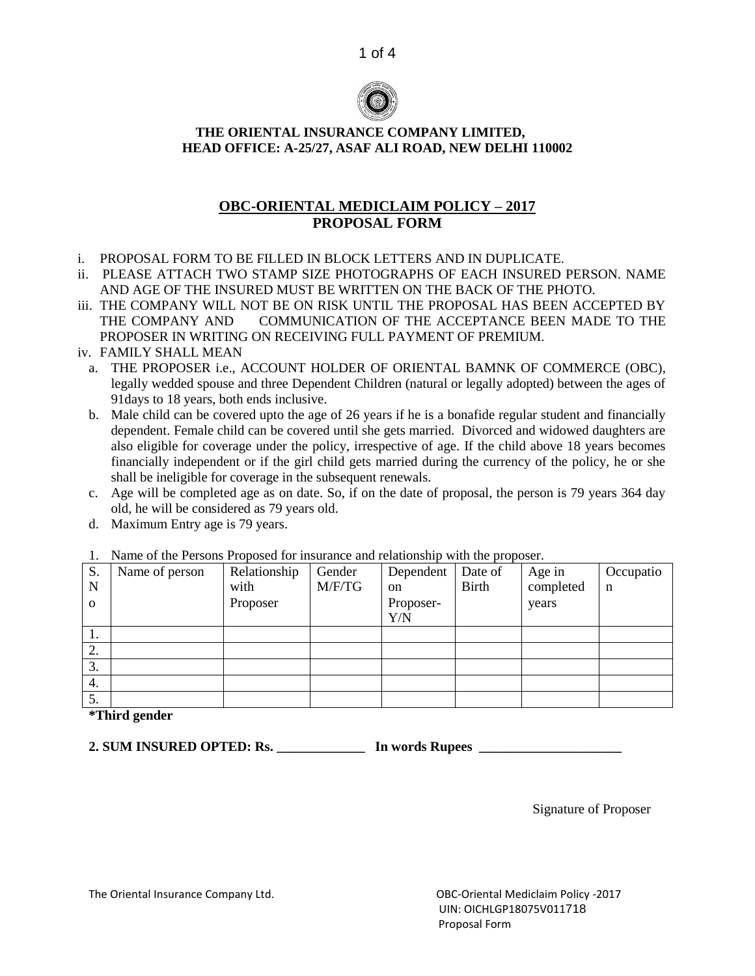



### **THE ORIENTAL INSURANCE COMPANY LIMITED, HEAD OFFICE: A-25/27, ASAF ALI ROAD, NEW DELHI 110002**

# **OBC-ORIENTAL MEDICLAIM POLICY – 2017 PROPOSAL FORM**

- i. PROPOSAL FORM TO BE FILLED IN BLOCK LETTERS AND IN DUPLICATE.
- ii. PLEASE ATTACH TWO STAMP SIZE PHOTOGRAPHS OF EACH INSURED PERSON. NAME AND AGE OF THE INSURED MUST BE WRITTEN ON THE BACK OF THE PHOTO.
- iii. THE COMPANY WILL NOT BE ON RISK UNTIL THE PROPOSAL HAS BEEN ACCEPTED BY THE COMPANY AND COMMUNICATION OF THE ACCEPTANCE BEEN MADE TO THE PROPOSER IN WRITING ON RECEIVING FULL PAYMENT OF PREMIUM.
- iv. FAMILY SHALL MEAN
	- a. THE PROPOSER i.e., ACCOUNT HOLDER OF ORIENTAL BAMNK OF COMMERCE (OBC), legally wedded spouse and three Dependent Children (natural or legally adopted) between the ages of 91days to 18 years, both ends inclusive.
	- b. Male child can be covered upto the age of 26 years if he is a bonafide regular student and financially dependent. Female child can be covered until she gets married. Divorced and widowed daughters are also eligible for coverage under the policy, irrespective of age. If the child above 18 years becomes financially independent or if the girl child gets married during the currency of the policy, he or she shall be ineligible for coverage in the subsequent renewals.
	- c. Age will be completed age as on date. So, if on the date of proposal, the person is 79 years 364 day old, he will be considered as 79 years old.
	- d. Maximum Entry age is 79 years.

| S.       | Name of person | Relationship | Gender | Dependent | Date of      | Age in    | Occupatio |
|----------|----------------|--------------|--------|-----------|--------------|-----------|-----------|
| N        |                | with         | M/F/TG | on        | <b>Birth</b> | completed | n         |
| $\Omega$ |                | Proposer     |        | Proposer- |              | years     |           |
|          |                |              |        | Y/N       |              |           |           |
| 1.       |                |              |        |           |              |           |           |
| 2.       |                |              |        |           |              |           |           |
| 3.       |                |              |        |           |              |           |           |
| 4.       |                |              |        |           |              |           |           |
| 5.       |                |              |        |           |              |           |           |

## 1. Name of the Persons Proposed for insurance and relationship with the proposer.

**\*Third gender**

**2. SUM INSURED OPTED: Rs. \_\_\_\_\_\_\_\_\_\_\_\_\_ In words Rupees \_\_\_\_\_\_\_\_\_\_\_\_\_\_\_\_\_\_\_\_\_**

Signature of Proposer

The Oriental Insurance Company Ltd. OBC-Oriental Mediclaim Policy -2017

 UIN: OICHLGP18075V011718 Proposal Form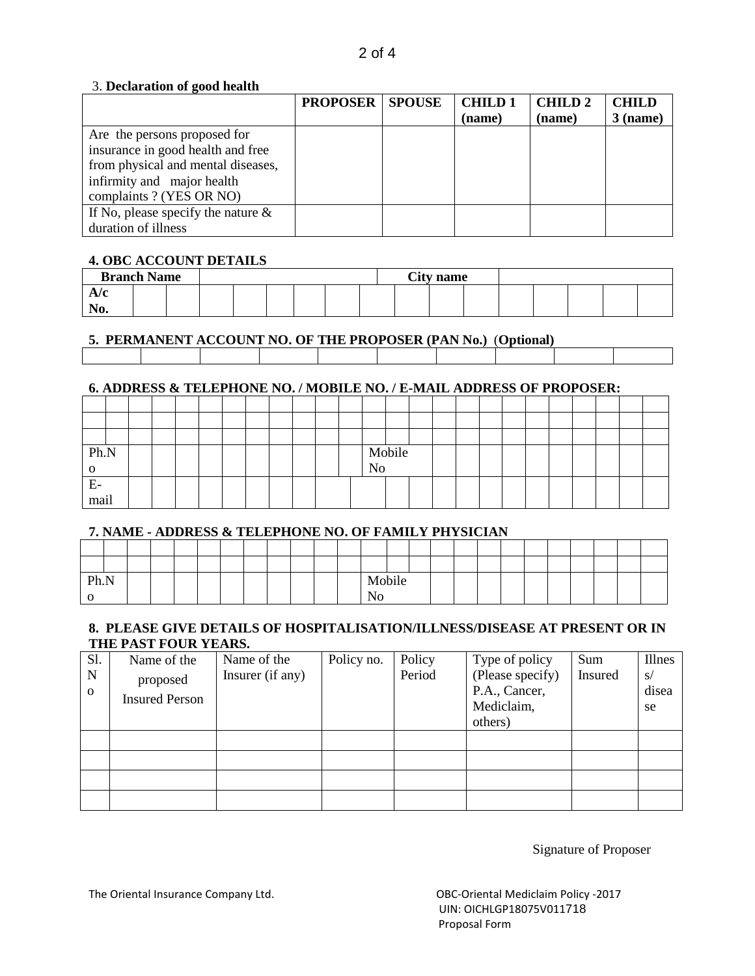### 3. **Declaration of good health**

|                                       | <b>PROPOSER   SPOUSE</b> | <b>CHILD1</b> | <b>CHILD2</b> | <b>CHILD</b> |
|---------------------------------------|--------------------------|---------------|---------------|--------------|
|                                       |                          | (name)        | (name)        | $3$ (name)   |
| Are the persons proposed for          |                          |               |               |              |
| insurance in good health and free     |                          |               |               |              |
| from physical and mental diseases,    |                          |               |               |              |
| infirmity and major health            |                          |               |               |              |
| complaints ? (YES OR NO)              |                          |               |               |              |
| If No, please specify the nature $\&$ |                          |               |               |              |
| duration of illness                   |                          |               |               |              |

# **4. OBC ACCOUNT DETAILS**

| <b>Branch Name</b> |  |  |  |  | <b>City name</b> |  |  |  |  |
|--------------------|--|--|--|--|------------------|--|--|--|--|
|                    |  |  |  |  |                  |  |  |  |  |
| TIA.               |  |  |  |  |                  |  |  |  |  |

# **5. PERMANENT ACCOUNT NO. OF THE PROPOSER (PAN No.)** (**Optional)**

### **6. ADDRESS & TELEPHONE NO. / MOBILE NO. / E-MAIL ADDRESS OF PROPOSER:**

| Ph.N |  |  |  |  |  |    | Mobile |  |  |  |  |  |  |
|------|--|--|--|--|--|----|--------|--|--|--|--|--|--|
|      |  |  |  |  |  | No |        |  |  |  |  |  |  |
| E.   |  |  |  |  |  |    |        |  |  |  |  |  |  |
| mail |  |  |  |  |  |    |        |  |  |  |  |  |  |

### **7. NAME - ADDRESS & TELEPHONE NO. OF FAMILY PHYSICIAN**

| Ph.N |  |  |  |  |  | Mobile |  |  |  |  |  |  |
|------|--|--|--|--|--|--------|--|--|--|--|--|--|
|      |  |  |  |  |  |        |  |  |  |  |  |  |

### **8. PLEASE GIVE DETAILS OF HOSPITALISATION/ILLNESS/DISEASE AT PRESENT OR IN THE PAST FOUR YEARS.**

| Sl.           | Name of the                       | Name of the      | Policy no. | Policy | Type of policy                    | Sum            | Illnes      |
|---------------|-----------------------------------|------------------|------------|--------|-----------------------------------|----------------|-------------|
| N<br>$\Omega$ | proposed<br><b>Insured Person</b> | Insurer (if any) |            | Period | (Please specify)<br>P.A., Cancer, | <b>Insured</b> | S/<br>disea |
|               |                                   |                  |            |        | Mediclaim,                        |                | se          |
|               |                                   |                  |            |        | others)                           |                |             |
|               |                                   |                  |            |        |                                   |                |             |
|               |                                   |                  |            |        |                                   |                |             |
|               |                                   |                  |            |        |                                   |                |             |
|               |                                   |                  |            |        |                                   |                |             |

Signature of Proposer

The Oriental Insurance Company Ltd. Company 1.0 Company 1.0 Consumer Contential Mediclaim Policy -2017

 UIN: OICHLGP18075V011718 Proposal Form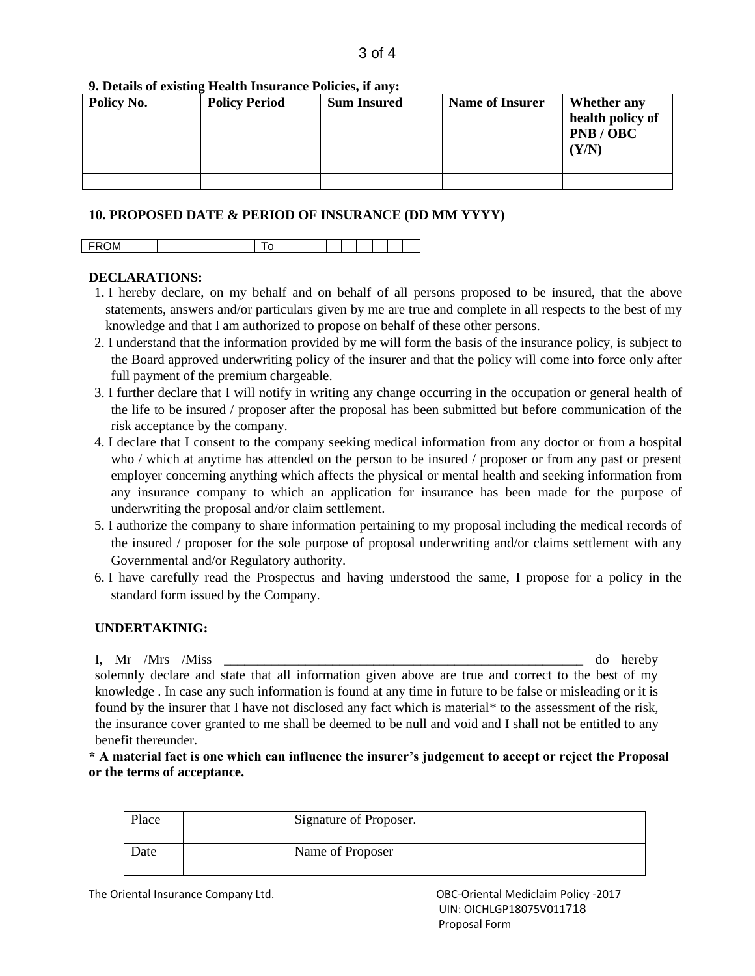#### **9. Details of existing Health Insurance Policies, if any:**

| Policy No. | <b>Policy Period</b> | <b>Sum Insured</b> | <b>Name of Insurer</b> | Whether any<br>health policy of<br>PNB/OBC<br>'Y/N |
|------------|----------------------|--------------------|------------------------|----------------------------------------------------|
|            |                      |                    |                        |                                                    |
|            |                      |                    |                        |                                                    |

#### **10. PROPOSED DATE & PERIOD OF INSURANCE (DD MM YYYY)**

#### **DECLARATIONS:**

- 1. I hereby declare, on my behalf and on behalf of all persons proposed to be insured, that the above statements, answers and/or particulars given by me are true and complete in all respects to the best of my knowledge and that I am authorized to propose on behalf of these other persons.
- 2. I understand that the information provided by me will form the basis of the insurance policy, is subject to the Board approved underwriting policy of the insurer and that the policy will come into force only after full payment of the premium chargeable.
- 3. I further declare that I will notify in writing any change occurring in the occupation or general health of the life to be insured / proposer after the proposal has been submitted but before communication of the risk acceptance by the company.
- 4. I declare that I consent to the company seeking medical information from any doctor or from a hospital who / which at anytime has attended on the person to be insured / proposer or from any past or present employer concerning anything which affects the physical or mental health and seeking information from any insurance company to which an application for insurance has been made for the purpose of underwriting the proposal and/or claim settlement.
- 5. I authorize the company to share information pertaining to my proposal including the medical records of the insured / proposer for the sole purpose of proposal underwriting and/or claims settlement with any Governmental and/or Regulatory authority.
- 6. I have carefully read the Prospectus and having understood the same, I propose for a policy in the standard form issued by the Company.

#### **UNDERTAKINIG:**

I, Mr /Mrs /Miss  $\sim$  1. The observed of the observed of the observed of the observed of the observed of the observed of the observed of the observed of the observed of the observed of the observed of the observed of the o solemnly declare and state that all information given above are true and correct to the best of my knowledge . In case any such information is found at any time in future to be false or misleading or it is found by the insurer that I have not disclosed any fact which is material\* to the assessment of the risk, the insurance cover granted to me shall be deemed to be null and void and I shall not be entitled to any benefit thereunder.

**\* A material fact is one which can influence the insurer's judgement to accept or reject the Proposal or the terms of acceptance.**

| Place | Signature of Proposer. |
|-------|------------------------|
| Date  | Name of Proposer       |

The Oriental Insurance Company Ltd. OBC-Oriental Mediclaim Policy -2017

 UIN: OICHLGP18075V011718 Proposal Form